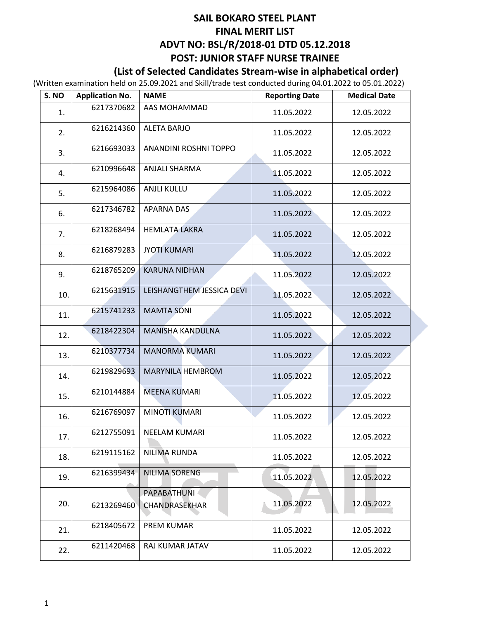### **SAIL BOKARO STEEL PLANT FINAL MERIT LIST ADVT NO: BSL/R/2018-01 DTD 05.12.2018 POST: JUNIOR STAFF NURSE TRAINEE**

### **(List of Selected Candidates Stream-wise in alphabetical order)**

(Written examination held on 25.09.2021 and Skill/trade test conducted during 04.01.2022 to 05.01.2022)

| S. NO | <b>Application No.</b> | <b>NAME</b>                  | <b>Reporting Date</b> | <b>Medical Date</b> |
|-------|------------------------|------------------------------|-----------------------|---------------------|
| 1.    | 6217370682             | AAS MOHAMMAD                 | 11.05.2022            | 12.05.2022          |
| 2.    | 6216214360             | <b>ALETA BARJO</b>           | 11.05.2022            | 12.05.2022          |
| 3.    | 6216693033             | ANANDINI ROSHNI TOPPO        | 11.05.2022            | 12.05.2022          |
| 4.    | 6210996648             | <b>ANJALI SHARMA</b>         | 11.05.2022            | 12.05.2022          |
| 5.    | 6215964086             | <b>ANJLI KULLU</b>           | 11.05.2022            | 12.05.2022          |
| 6.    | 6217346782             | <b>APARNA DAS</b>            | 11.05.2022            | 12.05.2022          |
| 7.    | 6218268494             | <b>HEMLATA LAKRA</b>         | 11.05.2022            | 12.05.2022          |
| 8.    | 6216879283             | <b>JYOTI KUMARI</b>          | 11.05.2022            | 12.05.2022          |
| 9.    | 6218765209             | <b>KARUNA NIDHAN</b>         | 11.05.2022            | 12.05.2022          |
| 10.   | 6215631915             | LEISHANGTHEM JESSICA DEVI    | 11.05.2022            | 12.05.2022          |
| 11.   | 6215741233             | <b>MAMTA SONI</b>            | 11.05.2022            | 12.05.2022          |
| 12.   | 6218422304             | <b>MANISHA KANDULNA</b>      | 11.05.2022            | 12.05.2022          |
| 13.   | 6210377734             | <b>MANORMA KUMARI</b>        | 11.05.2022            | 12.05.2022          |
| 14.   | 6219829693             | <b>MARYNILA HEMBROM</b>      | 11.05.2022            | 12.05.2022          |
| 15.   | 6210144884             | <b>MEENA KUMARI</b>          | 11.05.2022            | 12.05.2022          |
| 16.   | 6216769097             | <b>MINOTI KUMARI</b>         | 11.05.2022            | 12.05.2022          |
| 17.   | 6212755091             | <b>NEELAM KUMARI</b>         | 11.05.2022            | 12.05.2022          |
| 18.   | 6219115162             | NILIMA RUNDA                 | 11.05.2022            | 12.05.2022          |
| 19.   | 6216399434             | NILIMA SORENG                | 11.05.2022            | 12.05.2022          |
| 20.   | 6213269460             | PAPABATHUNI<br>CHANDRASEKHAR | 11,05.2022            | 12.05.2022          |
| 21.   | 6218405672             | <b>PREM KUMAR</b>            | 11.05.2022            | 12.05.2022          |
| 22.   | 6211420468             | RAJ KUMAR JATAV              | 11.05.2022            | 12.05.2022          |